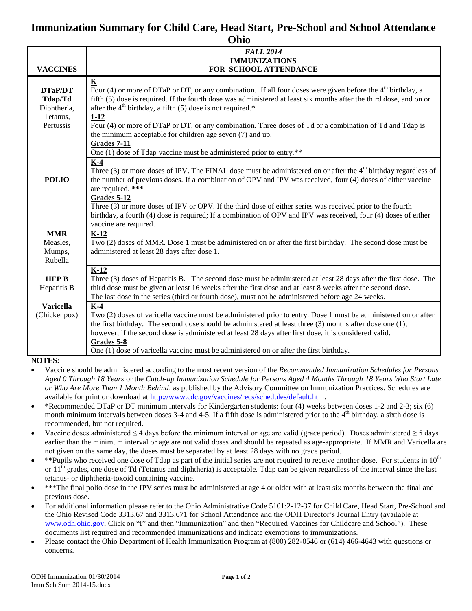## **Immunization Summary for Child Care, Head Start, Pre-School and School Attendance Ohio**

| UIIIU            |                                                                                                                     |  |
|------------------|---------------------------------------------------------------------------------------------------------------------|--|
|                  | <b>FALL 2014</b>                                                                                                    |  |
|                  | <b>IMMUNIZATIONS</b>                                                                                                |  |
| <b>VACCINES</b>  | FOR SCHOOL ATTENDANCE                                                                                               |  |
|                  | $\overline{\mathbf{K}}$                                                                                             |  |
| DTaP/DT          | Four (4) or more of DTaP or DT, or any combination. If all four doses were given before the $4th$ birthday, a       |  |
| Tdap/Td          | fifth (5) dose is required. If the fourth dose was administered at least six months after the third dose, and on or |  |
| Diphtheria,      | after the $4th$ birthday, a fifth (5) dose is not required.*                                                        |  |
| Tetanus,         | $1 - 12$                                                                                                            |  |
| Pertussis        | Four (4) or more of DTaP or DT, or any combination. Three doses of Td or a combination of Td and Tdap is            |  |
|                  | the minimum acceptable for children age seven (7) and up.                                                           |  |
|                  | Grades 7-11                                                                                                         |  |
|                  | One (1) dose of Tdap vaccine must be administered prior to entry.**                                                 |  |
|                  | $K-4$                                                                                                               |  |
|                  | Three $(3)$ or more doses of IPV. The FINAL dose must be administered on or after the $4th$ birthday regardless of  |  |
| <b>POLIO</b>     | the number of previous doses. If a combination of OPV and IPV was received, four (4) doses of either vaccine        |  |
|                  | are required. ***                                                                                                   |  |
|                  | Grades 5-12                                                                                                         |  |
|                  | Three (3) or more doses of IPV or OPV. If the third dose of either series was received prior to the fourth          |  |
|                  | birthday, a fourth (4) dose is required; If a combination of OPV and IPV was received, four (4) doses of either     |  |
|                  | vaccine are required.                                                                                               |  |
| <b>MMR</b>       | $K-12$                                                                                                              |  |
| Measles,         | Two (2) doses of MMR. Dose 1 must be administered on or after the first birthday. The second dose must be           |  |
| Mumps,           | administered at least 28 days after dose 1.                                                                         |  |
| Rubella          |                                                                                                                     |  |
|                  | $K-12$                                                                                                              |  |
| <b>HEP B</b>     | Three (3) doses of Hepatitis B. The second dose must be administered at least 28 days after the first dose. The     |  |
| Hepatitis B      | third dose must be given at least 16 weeks after the first dose and at least 8 weeks after the second dose.         |  |
|                  | The last dose in the series (third or fourth dose), must not be administered before age 24 weeks.                   |  |
| <b>Varicella</b> | $K-4$                                                                                                               |  |
| (Chickenpox)     | Two (2) doses of varicella vaccine must be administered prior to entry. Dose 1 must be administered on or after     |  |
|                  | the first birthday. The second dose should be administered at least three (3) months after dose one (1);            |  |
|                  | however, if the second dose is administered at least 28 days after first dose, it is considered valid.              |  |
|                  | Grades 5-8                                                                                                          |  |
|                  | One (1) dose of varicella vaccine must be administered on or after the first birthday.                              |  |
| <b>NOTES:</b>    |                                                                                                                     |  |

- 
- Vaccine should be administered according to the most recent version of the *Recommended Immunization Schedules for Persons Aged 0 Through 18 Years* or the *Catch-up Immunization Schedule for Persons Aged 4 Months Through 18 Years Who Start Late or Who Are More Than 1 Month Behind*, as published by the Advisory Committee on Immunization Practices. Schedules are available for print or download at [http://www.cdc.gov/vaccines/recs/schedules/default.htm.](http://www.cdc.gov/vaccines/recs/schedules/default.htm)
- \*Recommended DTaP or DT minimum intervals for Kindergarten students: four (4) weeks between doses 1-2 and 2-3; six (6) month minimum intervals between doses  $3-4$  and  $4-5$ . If a fifth dose is administered prior to the  $4<sup>th</sup>$  birthday, a sixth dose is recommended, but not required.
- Vaccine doses administered  $\leq$  4 days before the minimum interval or age are valid (grace period). Doses administered  $\geq$  5 days earlier than the minimum interval or age are not valid doses and should be repeated as age-appropriate. If MMR and Varicella are not given on the same day, the doses must be separated by at least 28 days with no grace period.
- \*\*Pupils who received one dose of Tdap as part of the initial series are not required to receive another dose. For students in  $10<sup>th</sup>$ or  $11<sup>th</sup>$  grades, one dose of Td (Tetanus and diphtheria) is acceptable. Tdap can be given regardless of the interval since the last tetanus- or diphtheria-toxoid containing vaccine.
- \*\*\*The final polio dose in the IPV series must be administered at age 4 or older with at least six months between the final and previous dose.
- For additional information please refer to the Ohio Administrative Code 5101:2-12-37 for Child Care, Head Start, Pre-School and the Ohio Revised Code 3313.67 and 3313.671 for School Attendance and the ODH Director's Journal Entry (available at [www.odh.ohio.gov,](http://www.odh.ohio.gov/) Click on "I" and then "Immunization" and then "Required Vaccines for Childcare and School"). These documents list required and recommended immunizations and indicate exemptions to immunizations.
- Please contact the Ohio Department of Health Immunization Program at (800) 282-0546 or (614) 466-4643 with questions or concerns.